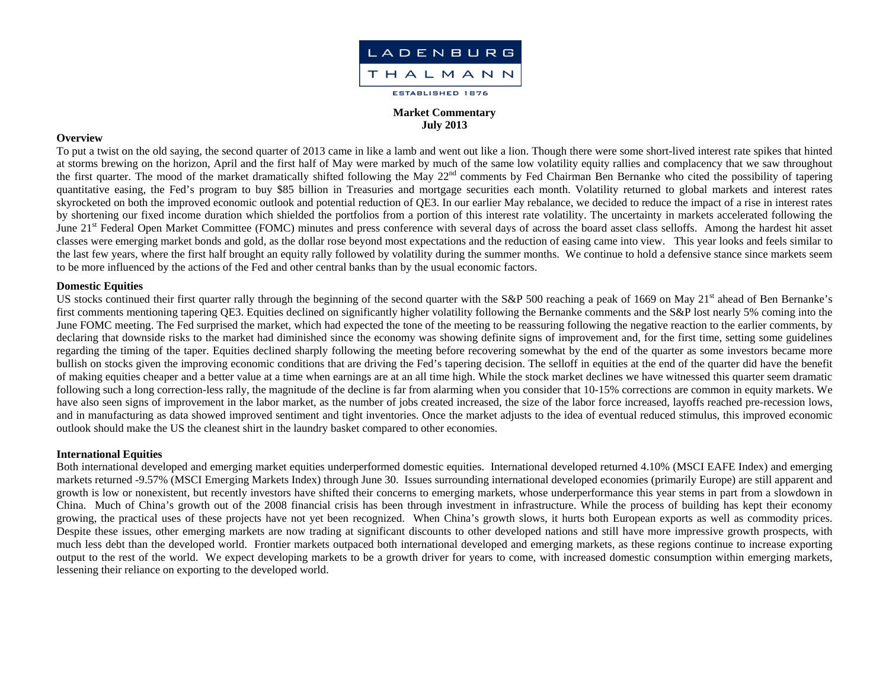

## **Market Commentary July 2013**

#### **Overview**

To put a twist on the old saying, the second quarter of 2013 came in like a lamb and went out like a lion. Though there were some short-lived interest rate spikes that hinted at storms brewing on the horizon, April and the first half of May were marked by much of the same low volatility equity rallies and complacency that we saw throughout the first quarter. The mood of the market dramatically shifted following the May 22<sup>nd</sup> comments by Fed Chairman Ben Bernanke who cited the possibility of tapering quantitative easing, the Fed's program to buy \$85 billion in Treasuries and mortgage securities each month. Volatility returned to global markets and interest rates skyrocketed on both the improved economic outlook and potential reduction of QE3. In our earlier May rebalance, we decided to reduce the impact of a rise in interest rates by shortening our fixed income duration which shielded the portfolios from a portion of this interest rate volatility. The uncertainty in markets accelerated following the June 21<sup>st</sup> Federal Open Market Committee (FOMC) minutes and press conference with several days of across the board asset class selloffs. Among the hardest hit asset classes were emerging market bonds and gold, as the dollar rose beyond most expectations and the reduction of easing came into view. This year looks and feels similar to the last few years, where the first half brought an equity rally followed by volatility during the summer months. We continue to hold a defensive stance since markets seem to be more influenced by the actions of the Fed and other central banks than by the usual economic factors.

#### **Domestic Equities**

US stocks continued their first quarter rally through the beginning of the second quarter with the S&P 500 reaching a peak of 1669 on May 21<sup>st</sup> ahead of Ben Bernanke's first comments mentioning tapering QE3. Equities declined on significantly higher volatility following the Bernanke comments and the S&P lost nearly 5% coming into the June FOMC meeting. The Fed surprised the market, which had expected the tone of the meeting to be reassuring following the negative reaction to the earlier comments, by declaring that downside risks to the market had diminished since the economy was showing definite signs of improvement and, for the first time, setting some guidelines regarding the timing of the taper. Equities declined sharply following the meeting before recovering somewhat by the end of the quarter as some investors became more bullish on stocks given the improving economic conditions that are driving the Fed's tapering decision. The selloff in equities at the end of the quarter did have the benefit of making equities cheaper and a better value at a time when earnings are at an all time high. While the stock market declines we have witnessed this quarter seem dramatic following such a long correction-less rally, the magnitude of the decline is far from alarming when you consider that 10-15% corrections are common in equity markets. We have also seen signs of improvement in the labor market, as the number of jobs created increased, the size of the labor force increased, layoffs reached pre-recession lows, and in manufacturing as data showed improved sentiment and tight inventories. Once the market adjusts to the idea of eventual reduced stimulus, this improved economic outlook should make the US the cleanest shirt in the laundry basket compared to other economies.

## **International Equities**

Both international developed and emerging market equities underperformed domestic equities. International developed returned 4.10% (MSCI EAFE Index) and emerging markets returned -9.57% (MSCI Emerging Markets Index) through June 30. Issues surrounding international developed economies (primarily Europe) are still apparent and growth is low or nonexistent, but recently investors have shifted their concerns to emerging markets, whose underperformance this year stems in part from a slowdown in China. Much of China's growth out of the 2008 financial crisis has been through investment in infrastructure. While the process of building has kept their economy growing, the practical uses of these projects have not yet been recognized. When China's growth slows, it hurts both European exports as well as commodity prices. Despite these issues, other emerging markets are now trading at significant discounts to other developed nations and still have more impressive growth prospects, with much less debt than the developed world. Frontier markets outpaced both international developed and emerging markets, as these regions continue to increase exporting output to the rest of the world. We expect developing markets to be a growth driver for years to come, with increased domestic consumption within emerging markets, lessening their reliance on exporting to the developed world.